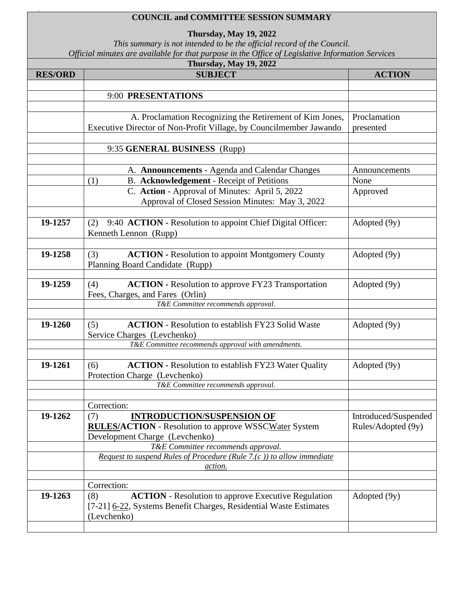## **COUNCIL and COMMITTEE SESSION SUMMARY**

19

**Thursday, May 19, 2022**

*This summary is not intended to be the official record of the Council. Official minutes are available for that purpose in the Office of Legislative Information Services*

| Thursday, May 19, 2022 |                                                                       |                      |  |  |
|------------------------|-----------------------------------------------------------------------|----------------------|--|--|
| <b>RES/ORD</b>         | <b>SUBJECT</b>                                                        | <b>ACTION</b>        |  |  |
|                        |                                                                       |                      |  |  |
|                        | 9:00 PRESENTATIONS                                                    |                      |  |  |
|                        |                                                                       |                      |  |  |
|                        | A. Proclamation Recognizing the Retirement of Kim Jones,              | Proclamation         |  |  |
|                        | Executive Director of Non-Profit Village, by Councilmember Jawando    | presented            |  |  |
|                        |                                                                       |                      |  |  |
|                        | 9:35 GENERAL BUSINESS (Rupp)                                          |                      |  |  |
|                        |                                                                       |                      |  |  |
|                        | A. Announcements - Agenda and Calendar Changes                        | Announcements        |  |  |
|                        | B. Acknowledgement - Receipt of Petitions<br>(1)                      | None                 |  |  |
|                        | C. Action - Approval of Minutes: April 5, 2022                        | Approved             |  |  |
|                        | Approval of Closed Session Minutes: May 3, 2022                       |                      |  |  |
|                        |                                                                       |                      |  |  |
| 19-1257                | 9:40 ACTION - Resolution to appoint Chief Digital Officer:<br>(2)     | Adopted (9y)         |  |  |
|                        | Kenneth Lennon (Rupp)                                                 |                      |  |  |
|                        |                                                                       |                      |  |  |
| 19-1258                | <b>ACTION - Resolution to appoint Montgomery County</b><br>(3)        | Adopted (9y)         |  |  |
|                        | Planning Board Candidate (Rupp)                                       |                      |  |  |
|                        |                                                                       |                      |  |  |
| 19-1259                | <b>ACTION - Resolution to approve FY23 Transportation</b><br>(4)      | Adopted (9y)         |  |  |
|                        | Fees, Charges, and Fares (Orlin)                                      |                      |  |  |
|                        | T&E Committee recommends approval.                                    |                      |  |  |
|                        |                                                                       |                      |  |  |
| 19-1260                | <b>ACTION</b> - Resolution to establish FY23 Solid Waste<br>(5)       | Adopted (9y)         |  |  |
|                        | Service Charges (Levchenko)                                           |                      |  |  |
|                        | T&E Committee recommends approval with amendments.                    |                      |  |  |
| 19-1261                | <b>ACTION</b> - Resolution to establish FY23 Water Quality<br>(6)     | Adopted (9y)         |  |  |
|                        | Protection Charge (Levchenko)                                         |                      |  |  |
|                        | T&E Committee recommends approval.                                    |                      |  |  |
|                        |                                                                       |                      |  |  |
|                        | Correction:                                                           |                      |  |  |
| 19-1262                | <b>INTRODUCTION/SUSPENSION OF</b><br>(7)                              | Introduced/Suspended |  |  |
|                        | <b>RULES/ACTION</b> - Resolution to approve WSSCWater System          | Rules/Adopted (9y)   |  |  |
|                        | Development Charge (Levchenko)                                        |                      |  |  |
|                        | T&E Committee recommends approval.                                    |                      |  |  |
|                        | Request to suspend Rules of Procedure (Rule 7.(c)) to allow immediate |                      |  |  |
|                        | action.                                                               |                      |  |  |
|                        |                                                                       |                      |  |  |
|                        | Correction:                                                           |                      |  |  |
| 19-1263                | <b>ACTION</b> - Resolution to approve Executive Regulation<br>(8)     | Adopted (9y)         |  |  |
|                        | [7-21] 6-22, Systems Benefit Charges, Residential Waste Estimates     |                      |  |  |
|                        | (Levchenko)                                                           |                      |  |  |
|                        |                                                                       |                      |  |  |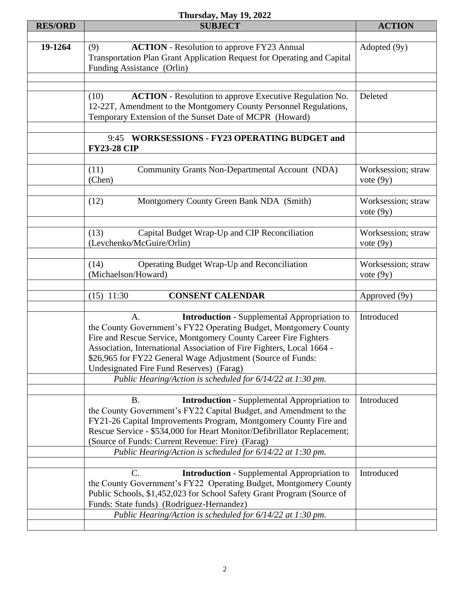## **Thursday, May 19, 2022**

|                | 1 IIUI 50ay, iyiay 1 <i>7</i> , 4044                                    |                    |
|----------------|-------------------------------------------------------------------------|--------------------|
| <b>RES/ORD</b> | <b>SUBJECT</b>                                                          | <b>ACTION</b>      |
|                |                                                                         |                    |
| 19-1264        | <b>ACTION</b> - Resolution to approve FY23 Annual<br>(9)                | Adopted (9y)       |
|                | Transportation Plan Grant Application Request for Operating and Capital |                    |
|                |                                                                         |                    |
|                | Funding Assistance (Orlin)                                              |                    |
|                |                                                                         |                    |
|                |                                                                         |                    |
|                | <b>ACTION</b> - Resolution to approve Executive Regulation No.<br>(10)  | Deleted            |
|                | 12-22T, Amendment to the Montgomery County Personnel Regulations,       |                    |
|                | Temporary Extension of the Sunset Date of MCPR (Howard)                 |                    |
|                |                                                                         |                    |
|                |                                                                         |                    |
|                | 9:45 WORKSESSIONS - FY23 OPERATING BUDGET and                           |                    |
|                | <b>FY23-28 CIP</b>                                                      |                    |
|                |                                                                         |                    |
|                | Community Grants Non-Departmental Account (NDA)<br>(11)                 | Worksession; straw |
|                |                                                                         |                    |
|                | (Chen)                                                                  | vote $(9y)$        |
|                |                                                                         |                    |
|                | (12)<br>Montgomery County Green Bank NDA (Smith)                        | Worksession; straw |
|                |                                                                         | vote $(9y)$        |
|                |                                                                         |                    |
|                |                                                                         |                    |
|                | Capital Budget Wrap-Up and CIP Reconciliation<br>(13)                   | Worksession; straw |
|                | (Levchenko/McGuire/Orlin)                                               | vote $(9y)$        |
|                |                                                                         |                    |
|                |                                                                         |                    |
|                | Operating Budget Wrap-Up and Reconciliation<br>(14)                     | Worksession; straw |
|                | (Michaelson/Howard)                                                     | vote $(9y)$        |
|                |                                                                         |                    |
|                | <b>CONSENT CALENDAR</b><br>$(15)$ 11:30                                 | Approved (9y)      |
|                |                                                                         |                    |
|                | A.                                                                      | Introduced         |
|                | <b>Introduction</b> - Supplemental Appropriation to                     |                    |
|                | the County Government's FY22 Operating Budget, Montgomery County        |                    |
|                | Fire and Rescue Service, Montgomery County Career Fire Fighters         |                    |
|                | Association, International Association of Fire Fighters, Local 1664 -   |                    |
|                | \$26,965 for FY22 General Wage Adjustment (Source of Funds:             |                    |
|                |                                                                         |                    |
|                | Undesignated Fire Fund Reserves) (Farag)                                |                    |
|                | Public Hearing/Action is scheduled for 6/14/22 at 1:30 pm.              |                    |
|                |                                                                         |                    |
|                | <b>Introduction</b> - Supplemental Appropriation to<br><b>B.</b>        | Introduced         |
|                | the County Government's FY22 Capital Budget, and Amendment to the       |                    |
|                |                                                                         |                    |
|                | FY21-26 Capital Improvements Program, Montgomery County Fire and        |                    |
|                | Rescue Service - \$534,000 for Heart Monitor/Defibrillator Replacement; |                    |
|                | (Source of Funds: Current Revenue: Fire) (Farag)                        |                    |
|                | Public Hearing/Action is scheduled for 6/14/22 at 1:30 pm.              |                    |
|                |                                                                         |                    |
|                |                                                                         |                    |
|                | <b>Introduction - Supplemental Appropriation to</b><br>C.               | Introduced         |
|                | the County Government's FY22 Operating Budget, Montgomery County        |                    |
|                | Public Schools, \$1,452,023 for School Safety Grant Program (Source of  |                    |
|                |                                                                         |                    |
|                | Funds: State funds) (Rodriguez-Hernandez)                               |                    |
|                | Public Hearing/Action is scheduled for 6/14/22 at 1:30 pm.              |                    |
|                |                                                                         |                    |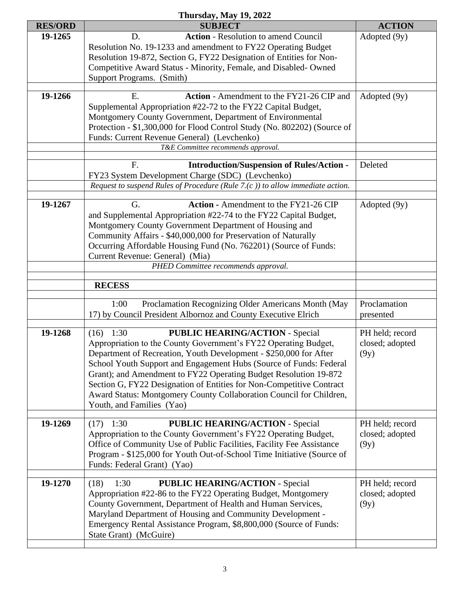| Thursday, May 19, 2022 |                                                                                                                                                                                                                                                                                                                                                                                                                                                                                                                      |                                            |  |  |
|------------------------|----------------------------------------------------------------------------------------------------------------------------------------------------------------------------------------------------------------------------------------------------------------------------------------------------------------------------------------------------------------------------------------------------------------------------------------------------------------------------------------------------------------------|--------------------------------------------|--|--|
| <b>RES/ORD</b>         | <b>SUBJECT</b>                                                                                                                                                                                                                                                                                                                                                                                                                                                                                                       | <b>ACTION</b>                              |  |  |
| 19-1265                | <b>Action</b> - Resolution to amend Council<br>D.<br>Resolution No. 19-1233 and amendment to FY22 Operating Budget<br>Resolution 19-872, Section G, FY22 Designation of Entities for Non-<br>Competitive Award Status - Minority, Female, and Disabled-Owned<br>Support Programs. (Smith)                                                                                                                                                                                                                            | Adopted (9y)                               |  |  |
| 19-1266                | Action - Amendment to the FY21-26 CIP and<br>Ε.<br>Supplemental Appropriation #22-72 to the FY22 Capital Budget,<br>Montgomery County Government, Department of Environmental<br>Protection - \$1,300,000 for Flood Control Study (No. 802202) (Source of<br>Funds: Current Revenue General) (Levchenko)<br>T&E Committee recommends approval.                                                                                                                                                                       | Adopted (9y)                               |  |  |
|                        | F.<br><b>Introduction/Suspension of Rules/Action -</b><br>FY23 System Development Charge (SDC) (Levchenko)<br>Request to suspend Rules of Procedure (Rule 7.(c)) to allow immediate action.                                                                                                                                                                                                                                                                                                                          | Deleted                                    |  |  |
| 19-1267                | <b>Action - Amendment to the FY21-26 CIP</b><br>G.<br>and Supplemental Appropriation #22-74 to the FY22 Capital Budget,<br>Montgomery County Government Department of Housing and<br>Community Affairs - \$40,000,000 for Preservation of Naturally<br>Occurring Affordable Housing Fund (No. 762201) (Source of Funds:<br>Current Revenue: General) (Mia)<br>PHED Committee recommends approval.                                                                                                                    | Adopted (9y)                               |  |  |
|                        | <b>RECESS</b>                                                                                                                                                                                                                                                                                                                                                                                                                                                                                                        |                                            |  |  |
|                        |                                                                                                                                                                                                                                                                                                                                                                                                                                                                                                                      |                                            |  |  |
|                        | Proclamation Recognizing Older Americans Month (May<br>1:00<br>17) by Council President Albornoz and County Executive Elrich                                                                                                                                                                                                                                                                                                                                                                                         | Proclamation<br>presented                  |  |  |
| 19-1268                | <b>PUBLIC HEARING/ACTION - Special</b><br>1:30<br>(16)<br>Appropriation to the County Government's FY22 Operating Budget,<br>Department of Recreation, Youth Development - \$250,000 for After<br>School Youth Support and Engagement Hubs (Source of Funds: Federal<br>Grant); and Amendment to FY22 Operating Budget Resolution 19-872<br>Section G, FY22 Designation of Entities for Non-Competitive Contract<br>Award Status: Montgomery County Collaboration Council for Children,<br>Youth, and Families (Yao) | PH held; record<br>closed; adopted<br>(9y) |  |  |
| 19-1269                | <b>PUBLIC HEARING/ACTION - Special</b><br>1:30<br>(17)<br>Appropriation to the County Government's FY22 Operating Budget,<br>Office of Community Use of Public Facilities, Facility Fee Assistance<br>Program - \$125,000 for Youth Out-of-School Time Initiative (Source of<br>Funds: Federal Grant) (Yao)                                                                                                                                                                                                          | PH held; record<br>closed; adopted<br>(9y) |  |  |
| 19-1270                | <b>PUBLIC HEARING/ACTION - Special</b><br>(18)<br>1:30<br>Appropriation #22-86 to the FY22 Operating Budget, Montgomery<br>County Government, Department of Health and Human Services,<br>Maryland Department of Housing and Community Development -<br>Emergency Rental Assistance Program, \$8,800,000 (Source of Funds:<br>State Grant) (McGuire)                                                                                                                                                                 | PH held; record<br>closed; adopted<br>(9y) |  |  |